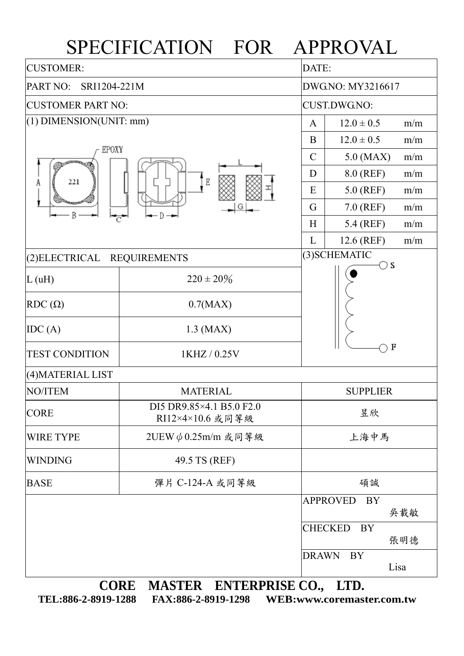## SPECIFICATION FOR APPROVAL

| <b>CUSTOMER:</b>                                               |                                              |                               | DATE:                        |  |  |  |  |  |  |
|----------------------------------------------------------------|----------------------------------------------|-------------------------------|------------------------------|--|--|--|--|--|--|
| PART NO:<br>SRI1204-221M                                       |                                              |                               | DWG.NO: MY3216617            |  |  |  |  |  |  |
| <b>CUSTOMER PART NO:</b>                                       |                                              |                               | CUST.DWG.NO:                 |  |  |  |  |  |  |
| $(1)$ DIMENSION(UNIT: mm)                                      |                                              |                               | $12.0 \pm 0.5$<br>m/m        |  |  |  |  |  |  |
| EPOXY<br>Ε<br>221<br>A<br>G<br>Β                               |                                              |                               | $12.0 \pm 0.5$<br>m/m        |  |  |  |  |  |  |
|                                                                |                                              |                               | $5.0$ (MAX)<br>m/m           |  |  |  |  |  |  |
|                                                                |                                              |                               | 8.0 (REF)<br>m/m             |  |  |  |  |  |  |
|                                                                |                                              |                               | 5.0 (REF)<br>m/m             |  |  |  |  |  |  |
|                                                                |                                              |                               | $7.0$ (REF)<br>m/m           |  |  |  |  |  |  |
|                                                                | ਟ                                            | H                             | 5.4 (REF)<br>m/m             |  |  |  |  |  |  |
|                                                                |                                              | L                             | 12.6 (REF)<br>m/m            |  |  |  |  |  |  |
| <b>REQUIREMENTS</b><br>(2) ELECTRICAL                          |                                              | (3) SCHEMATIC<br>$\bigcirc$ s |                              |  |  |  |  |  |  |
| L(uH)                                                          | $220 \pm 20\%$                               |                               |                              |  |  |  |  |  |  |
| $RDC(\Omega)$                                                  | 0.7(MAX)                                     |                               |                              |  |  |  |  |  |  |
| IDC(A)                                                         | $1.3$ (MAX)                                  |                               |                              |  |  |  |  |  |  |
| <b>TEST CONDITION</b>                                          | $\bf{F}$<br>1KHZ / 0.25V                     |                               |                              |  |  |  |  |  |  |
| (4) MATERIAL LIST                                              |                                              |                               |                              |  |  |  |  |  |  |
| NO/ITEM                                                        | <b>MATERIAL</b>                              | <b>SUPPLIER</b>               |                              |  |  |  |  |  |  |
| <b>CORE</b>                                                    | DI5 DR9.85×4.1 B5.0 F2.0<br>RI12×4×10.6 或同等級 |                               | 昱欣                           |  |  |  |  |  |  |
| <b>WIRE TYPE</b>                                               | 2UEW $\phi$ 0.25m/m 或同等級                     |                               | 上海中馬                         |  |  |  |  |  |  |
| <b>WINDING</b>                                                 | 49.5 TS (REF)                                |                               |                              |  |  |  |  |  |  |
| <b>BASE</b>                                                    | 彈片 C-124-A 或同等級                              |                               | 碩誠                           |  |  |  |  |  |  |
|                                                                |                                              |                               | <b>APPROVED</b><br>BY<br>吳載敏 |  |  |  |  |  |  |
|                                                                | <b>CHECKED</b><br>BY<br>張明德                  |                               |                              |  |  |  |  |  |  |
|                                                                |                                              | <b>DRAWN</b>                  | <b>BY</b><br>Lisa            |  |  |  |  |  |  |
| <b>CORE</b><br><b>MASTER</b><br><b>ENTERPRISE CO.,</b><br>LTD. |                                              |                               |                              |  |  |  |  |  |  |

**TEL:886-2-8919-1288 FAX:886-2-8919-1298 WEB:www.coremaster.com.tw**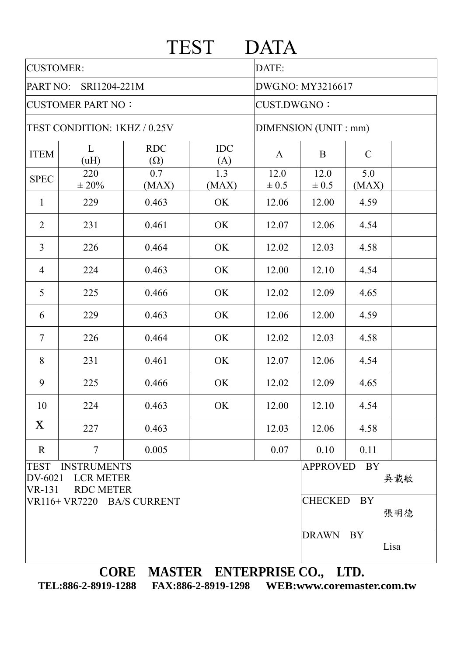|                                                                                                       |                            |                                    | <b>TEST</b>       | <b>DATA</b>          |                              |               |      |  |  |
|-------------------------------------------------------------------------------------------------------|----------------------------|------------------------------------|-------------------|----------------------|------------------------------|---------------|------|--|--|
| <b>CUSTOMER:</b>                                                                                      |                            |                                    |                   | DATE:                |                              |               |      |  |  |
| PART NO:<br>SRI1204-221M                                                                              |                            |                                    | DWG.NO: MY3216617 |                      |                              |               |      |  |  |
| <b>CUSTOMER PART NO:</b>                                                                              |                            |                                    |                   | <b>CUST.DWG.NO:</b>  |                              |               |      |  |  |
| TEST CONDITION: 1KHZ / 0.25V                                                                          |                            |                                    |                   | DIMENSION (UNIT: mm) |                              |               |      |  |  |
| <b>ITEM</b>                                                                                           | L<br>(uH)                  | <b>RDC</b><br>$(\Omega)$           | <b>IDC</b><br>(A) | $\mathbf{A}$         | B                            | $\mathcal{C}$ |      |  |  |
| <b>SPEC</b>                                                                                           | 220<br>$\pm 20\%$          | 0.7<br>(MAX)                       | 1.3<br>(MAX)      | 12.0<br>$\pm 0.5$    | 12.0<br>$\pm 0.5$            | 5.0<br>(MAX)  |      |  |  |
| $\mathbf{1}$                                                                                          | 229                        | 0.463                              | OK                | 12.06                | 12.00                        | 4.59          |      |  |  |
| $\overline{2}$                                                                                        | 231                        | 0.461                              | OK                | 12.07                | 12.06                        | 4.54          |      |  |  |
| $\overline{3}$                                                                                        | 226                        | 0.464                              | OK                | 12.02                | 12.03                        | 4.58          |      |  |  |
| $\overline{4}$                                                                                        | 224                        | 0.463                              | OK                | 12.00                | 12.10                        | 4.54          |      |  |  |
| 5                                                                                                     | 225                        | 0.466                              | OK                | 12.02                | 12.09                        | 4.65          |      |  |  |
| 6                                                                                                     | 229                        | 0.463                              | OK                | 12.06                | 12.00                        | 4.59          |      |  |  |
| $\overline{7}$                                                                                        | 226                        | 0.464                              | OK                | 12.02                | 12.03                        | 4.58          |      |  |  |
| 8                                                                                                     | 231                        | 0.461                              | OK                | 12.07                | 12.06                        | 4.54          |      |  |  |
| 9                                                                                                     | 225                        | 0.466                              | OK                | 12.02                | 12.09                        | 4.65          |      |  |  |
| 10                                                                                                    | 224                        | 0.463                              | OK                | 12.00                | 12.10                        | 4.54          |      |  |  |
| $\bar{\mathbf{X}}$                                                                                    | 227                        | 0.463                              |                   | 12.03                | 12.06                        | 4.58          |      |  |  |
| $\mathbf R$                                                                                           | $\overline{7}$             | 0.005                              |                   | 0.07                 | 0.10                         | 0.11          |      |  |  |
| <b>TEST</b><br><b>INSTRUMENTS</b><br>DV-6021<br><b>LCR METER</b><br><b>RDC METER</b><br><b>VR-131</b> |                            |                                    |                   |                      | <b>APPROVED</b><br>BY<br>吳載敏 |               |      |  |  |
|                                                                                                       | VR116+ VR7220 BA/S CURRENT | <b>CHECKED</b><br><b>BY</b><br>張明德 |                   |                      |                              |               |      |  |  |
|                                                                                                       |                            |                                    |                   |                      | <b>DRAWN</b>                 | BY            | Lisa |  |  |
| CORE MASTER ENTERPRISE CO. LTD.                                                                       |                            |                                    |                   |                      |                              |               |      |  |  |

**CORE MASTER ENTERPRISE CO., LTD. TEL:886-2-8919-1288 FAX:886-2-8919-1298 WEB:www.coremaster.com.tw**